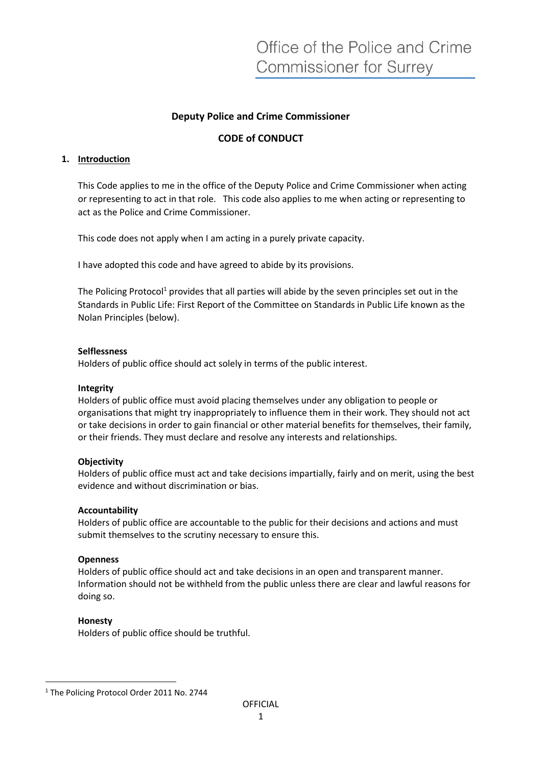# **Deputy Police and Crime Commissioner**

# **CODE of CONDUCT**

### **1. Introduction**

This Code applies to me in the office of the Deputy Police and Crime Commissioner when acting or representing to act in that role. This code also applies to me when acting or representing to act as the Police and Crime Commissioner.

This code does not apply when I am acting in a purely private capacity.

I have adopted this code and have agreed to abide by its provisions.

The Policing Protocol<sup>1</sup> provides that all parties will abide by the seven principles set out in the Standards in Public Life: First Report of the Committee on Standards in Public Life known as the Nolan Principles (below).

#### **Selflessness**

Holders of public office should act solely in terms of the public interest.

#### **Integrity**

Holders of public office must avoid placing themselves under any obligation to people or organisations that might try inappropriately to influence them in their work. They should not act or take decisions in order to gain financial or other material benefits for themselves, their family, or their friends. They must declare and resolve any interests and relationships.

## **Objectivity**

Holders of public office must act and take decisions impartially, fairly and on merit, using the best evidence and without discrimination or bias.

#### **Accountability**

Holders of public office are accountable to the public for their decisions and actions and must submit themselves to the scrutiny necessary to ensure this.

#### **Openness**

Holders of public office should act and take decisions in an open and transparent manner. Information should not be withheld from the public unless there are clear and lawful reasons for doing so.

## **Honesty**

Holders of public office should be truthful.

<sup>&</sup>lt;sup>1</sup> The Policing Protocol Order 2011 No. 2744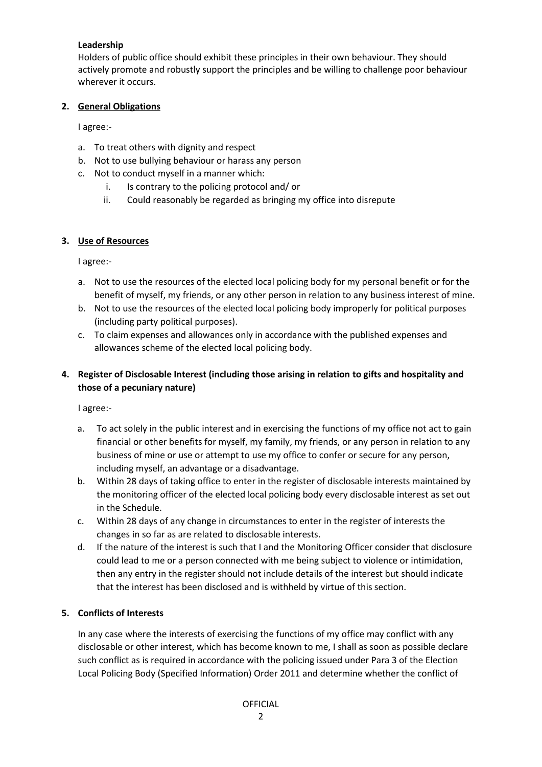## **Leadership**

Holders of public office should exhibit these principles in their own behaviour. They should actively promote and robustly support the principles and be willing to challenge poor behaviour wherever it occurs.

## **2. General Obligations**

I agree:-

- a. To treat others with dignity and respect
- b. Not to use bullying behaviour or harass any person
- c. Not to conduct myself in a manner which:
	- i. Is contrary to the policing protocol and/ or
	- ii. Could reasonably be regarded as bringing my office into disrepute

## **3. Use of Resources**

I agree:-

- a. Not to use the resources of the elected local policing body for my personal benefit or for the benefit of myself, my friends, or any other person in relation to any business interest of mine.
- b. Not to use the resources of the elected local policing body improperly for political purposes (including party political purposes).
- c. To claim expenses and allowances only in accordance with the published expenses and allowances scheme of the elected local policing body.

# **4. Register of Disclosable Interest (including those arising in relation to gifts and hospitality and those of a pecuniary nature)**

I agree:-

- a. To act solely in the public interest and in exercising the functions of my office not act to gain financial or other benefits for myself, my family, my friends, or any person in relation to any business of mine or use or attempt to use my office to confer or secure for any person, including myself, an advantage or a disadvantage.
- b. Within 28 days of taking office to enter in the register of disclosable interests maintained by the monitoring officer of the elected local policing body every disclosable interest as set out in the Schedule.
- c. Within 28 days of any change in circumstances to enter in the register of interests the changes in so far as are related to disclosable interests.
- d. If the nature of the interest is such that I and the Monitoring Officer consider that disclosure could lead to me or a person connected with me being subject to violence or intimidation, then any entry in the register should not include details of the interest but should indicate that the interest has been disclosed and is withheld by virtue of this section.

# **5. Conflicts of Interests**

In any case where the interests of exercising the functions of my office may conflict with any disclosable or other interest, which has become known to me, I shall as soon as possible declare such conflict as is required in accordance with the policing issued under Para 3 of the Election Local Policing Body (Specified Information) Order 2011 and determine whether the conflict of